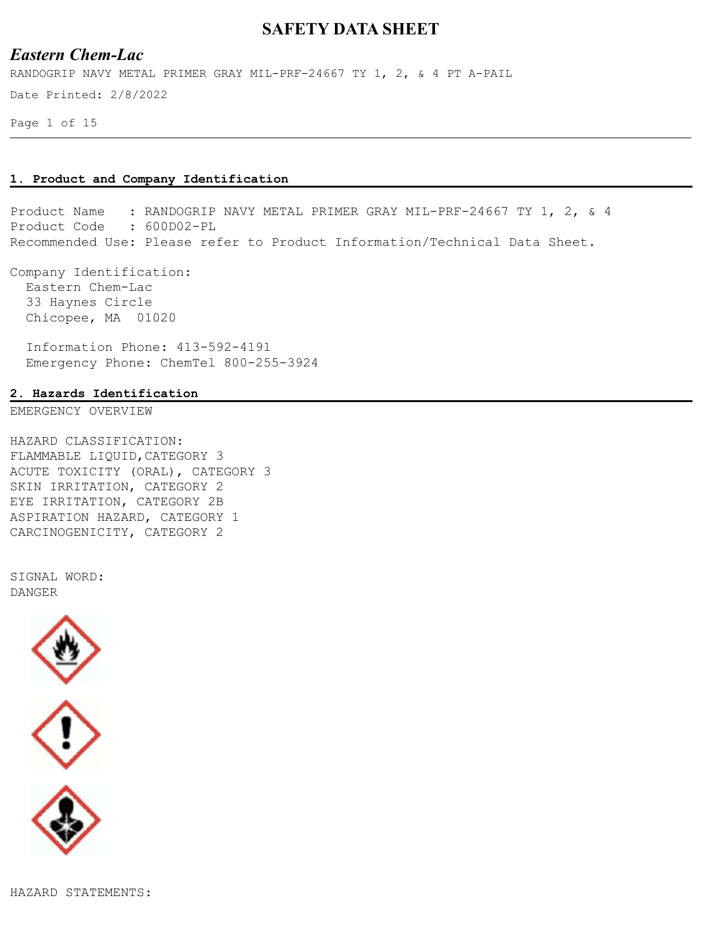## *Eastern Chem-Lac*

Date Printed: 2/8/2022 RANDOGRIP NAVY METAL PRIMER GRAY MIL-PRF-24667 TY 1, 2, & 4 PT A-PAIL

Page 1 of 15

#### **1. Product and Company Identification**

Product Name : RANDOGRIP NAVY METAL PRIMER GRAY MIL-PRF-24667 TY 1, 2, & 4 Product Code : 600D02-PL Recommended Use: Please refer to Product Information/Technical Data Sheet.

Company Identification: Eastern Chem-Lac 33 Haynes Circle Chicopee, MA 01020

 Information Phone: 413-592-4191 Emergency Phone: ChemTel 800-255-3924

### **2. Hazards Identification**

EMERGENCY OVERVIEW

HAZARD CLASSIFICATION: FLAMMABLE LIQUID,CATEGORY 3 ACUTE TOXICITY (ORAL), CATEGORY 3 SKIN IRRITATION, CATEGORY 2 EYE IRRITATION, CATEGORY 2B ASPIRATION HAZARD, CATEGORY 1 CARCINOGENICITY, CATEGORY 2

SIGNAL WORD: DANGER



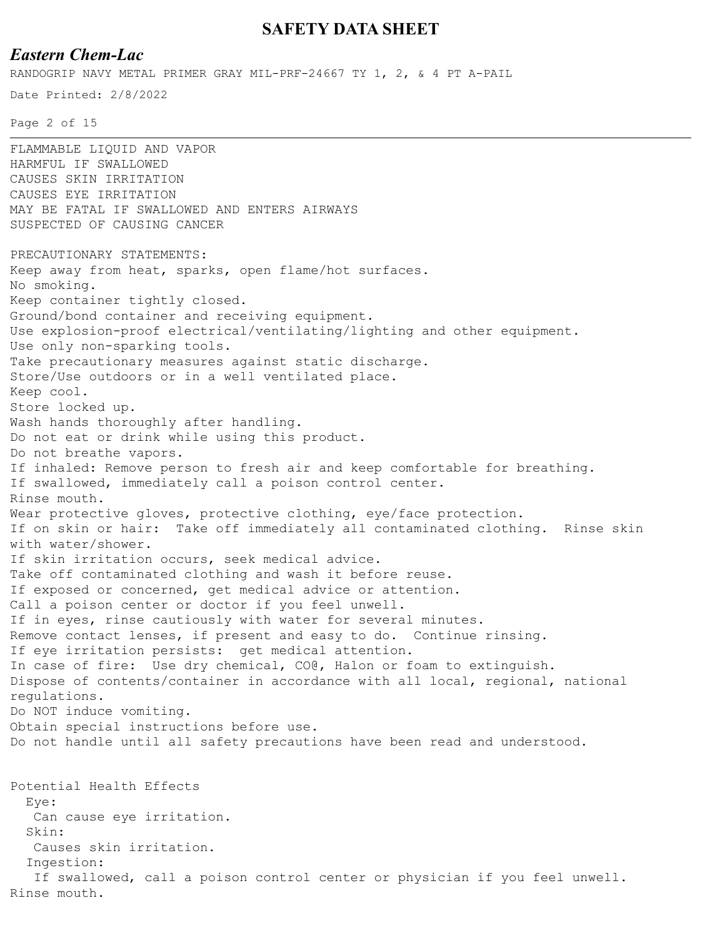## *Eastern Chem-Lac*

RANDOGRIP NAVY METAL PRIMER GRAY MIL-PRF-24667 TY 1, 2, & 4 PT A-PAIL

Date Printed: 2/8/2022

Page 2 of 15

FLAMMABLE LIQUID AND VAPOR HARMFUL IF SWALLOWED CAUSES SKIN IRRITATION CAUSES EYE IRRITATION MAY BE FATAL IF SWALLOWED AND ENTERS AIRWAYS SUSPECTED OF CAUSING CANCER PRECAUTIONARY STATEMENTS: Keep away from heat, sparks, open flame/hot surfaces. No smoking. Keep container tightly closed. Ground/bond container and receiving equipment. Use explosion-proof electrical/ventilating/lighting and other equipment. Use only non-sparking tools. Take precautionary measures against static discharge. Store/Use outdoors or in a well ventilated place. Keep cool. Store locked up. Wash hands thoroughly after handling. Do not eat or drink while using this product. Do not breathe vapors. If inhaled: Remove person to fresh air and keep comfortable for breathing. If swallowed, immediately call a poison control center. Rinse mouth. Wear protective gloves, protective clothing, eye/face protection. If on skin or hair: Take off immediately all contaminated clothing. Rinse skin with water/shower. If skin irritation occurs, seek medical advice. Take off contaminated clothing and wash it before reuse. If exposed or concerned, get medical advice or attention. Call a poison center or doctor if you feel unwell. If in eyes, rinse cautiously with water for several minutes. Remove contact lenses, if present and easy to do. Continue rinsing. If eye irritation persists: get medical attention. In case of fire: Use dry chemical, CO@, Halon or foam to extinguish. Dispose of contents/container in accordance with all local, regional, national regulations. Do NOT induce vomiting. Obtain special instructions before use. Do not handle until all safety precautions have been read and understood. Potential Health Effects Eye: Can cause eye irritation. Skin: Causes skin irritation. Ingestion: If swallowed, call a poison control center or physician if you feel unwell. Rinse mouth.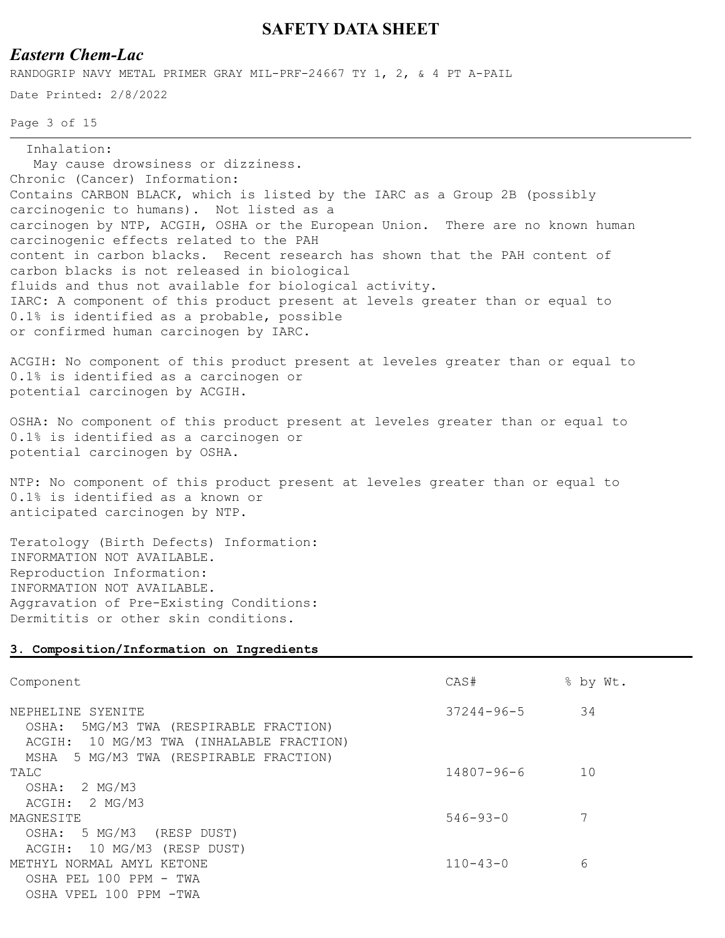# *Eastern Chem-Lac*

RANDOGRIP NAVY METAL PRIMER GRAY MIL-PRF-24667 TY 1, 2, & 4 PT A-PAIL

Date Printed: 2/8/2022

Page 3 of 15

Inhalation:

 May cause drowsiness or dizziness. Chronic (Cancer) Information: Contains CARBON BLACK, which is listed by the IARC as a Group 2B (possibly carcinogenic to humans). Not listed as a carcinogen by NTP, ACGIH, OSHA or the European Union. There are no known human carcinogenic effects related to the PAH content in carbon blacks. Recent research has shown that the PAH content of carbon blacks is not released in biological fluids and thus not available for biological activity. IARC: A component of this product present at levels greater than or equal to 0.1% is identified as a probable, possible or confirmed human carcinogen by IARC.

ACGIH: No component of this product present at leveles greater than or equal to 0.1% is identified as a carcinogen or potential carcinogen by ACGIH.

OSHA: No component of this product present at leveles greater than or equal to 0.1% is identified as a carcinogen or potential carcinogen by OSHA.

NTP: No component of this product present at leveles greater than or equal to 0.1% is identified as a known or anticipated carcinogen by NTP.

Teratology (Birth Defects) Information: INFORMATION NOT AVAILABLE. Reproduction Information: INFORMATION NOT AVAILABLE. Aggravation of Pre-Existing Conditions: Dermititis or other skin conditions.

#### **3. Composition/Information on Ingredients**

| Component                                                                                                                                               | CAS#             | % by Wt. |
|---------------------------------------------------------------------------------------------------------------------------------------------------------|------------------|----------|
| NEPHELINE SYENITE<br>5MG/M3 TWA (RESPIRABLE FRACTION)<br>OSHA:<br>ACGIH: 10 MG/M3 TWA (INHALABLE FRACTION)<br>5 MG/M3 TWA (RESPIRABLE FRACTION)<br>MSHA | $37244 - 96 - 5$ | 34       |
| TALC<br>2 MG/M3<br>OSHA:                                                                                                                                | $14807 - 96 - 6$ | 10       |
| 2 MG/M3<br>ACGIH:                                                                                                                                       |                  |          |
| MAGNESITE<br>5 MG/M3<br>OSHA:<br>(RESP DUST)                                                                                                            | $546 - 93 - 0$   |          |
| ACGIH: 10 MG/M3 (RESP DUST)<br>METHYL NORMAL AMYL KETONE                                                                                                | $110 - 43 - 0$   | 6        |
| OSHA PEL 100 PPM - TWA<br>OSHA VPEL 100 PPM -TWA                                                                                                        |                  |          |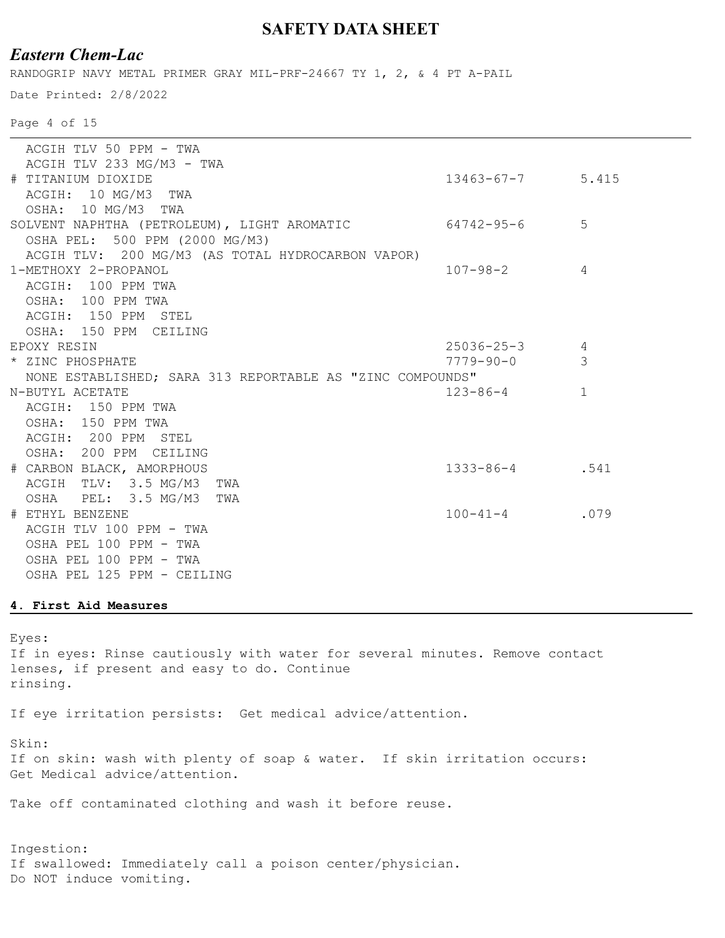# *Eastern Chem-Lac*

RANDOGRIP NAVY METAL PRIMER GRAY MIL-PRF-24667 TY 1, 2, & 4 PT A-PAIL

Date Printed: 2/8/2022

Page 4 of 15

|                                                           | ACGIH TLV 50 PPM - TWA                                 |                        |                |
|-----------------------------------------------------------|--------------------------------------------------------|------------------------|----------------|
|                                                           | ACGIH TLV 233 MG/M3 - TWA                              |                        |                |
|                                                           | # TITANIUM DIOXIDE                                     | $13463 - 67 - 7$ 5.415 |                |
|                                                           | ACGIH: 10 MG/M3 TWA                                    |                        |                |
|                                                           | OSHA: 10 MG/M3 TWA                                     |                        |                |
|                                                           | SOLVENT NAPHTHA (PETROLEUM), LIGHT AROMATIC 64742-95-6 |                        | 5              |
|                                                           | OSHA PEL: 500 PPM (2000 MG/M3)                         |                        |                |
|                                                           | ACGIH TLV: 200 MG/M3 (AS TOTAL HYDROCARBON VAPOR)      |                        |                |
|                                                           | 1-METHOXY 2-PROPANOL                                   | $107 - 98 - 2$         | $\overline{4}$ |
|                                                           | ACGIH: 100 PPM TWA                                     |                        |                |
|                                                           | OSHA: 100 PPM TWA                                      |                        |                |
|                                                           | ACGIH: 150 PPM STEL                                    |                        |                |
|                                                           | OSHA: 150 PPM CEILING                                  |                        |                |
|                                                           | EPOXY RESIN                                            | $25036 - 25 - 3$       | $\overline{4}$ |
|                                                           | * ZINC PHOSPHATE                                       | $7779 - 90 - 0$        | 3              |
| NONE ESTABLISHED; SARA 313 REPORTABLE AS "ZINC COMPOUNDS" |                                                        |                        |                |
|                                                           | N-BUTYL ACETATE                                        | $123 - 86 - 4$         | $\mathbf{1}$   |
|                                                           | ACGIH: 150 PPM TWA                                     |                        |                |
|                                                           | OSHA: 150 PPM TWA                                      |                        |                |
|                                                           | ACGIH: 200 PPM STEL                                    |                        |                |
|                                                           | OSHA: 200 PPM CEILING                                  |                        |                |
|                                                           | # CARBON BLACK, AMORPHOUS                              | 1333-86-4. 541         |                |
|                                                           | ACGIH TLV: 3.5 MG/M3 TWA                               |                        |                |
|                                                           | OSHA PEL: 3.5 MG/M3 TWA                                |                        |                |
|                                                           | # ETHYL BENZENE                                        | $100 - 41 - 4$         | .079           |
|                                                           | ACGIH TLV 100 PPM - TWA                                |                        |                |
|                                                           | OSHA PEL 100 PPM - TWA                                 |                        |                |
|                                                           | OSHA PEL 100 PPM - TWA                                 |                        |                |
|                                                           | OSHA PEL 125 PPM - CEILING                             |                        |                |
|                                                           |                                                        |                        |                |

### **4. First Aid Measures**

Eyes: If in eyes: Rinse cautiously with water for several minutes. Remove contact lenses, if present and easy to do. Continue rinsing.

If eye irritation persists: Get medical advice/attention.

Skin:

If on skin: wash with plenty of soap & water. If skin irritation occurs: Get Medical advice/attention.

Take off contaminated clothing and wash it before reuse.

Ingestion: If swallowed: Immediately call a poison center/physician. Do NOT induce vomiting.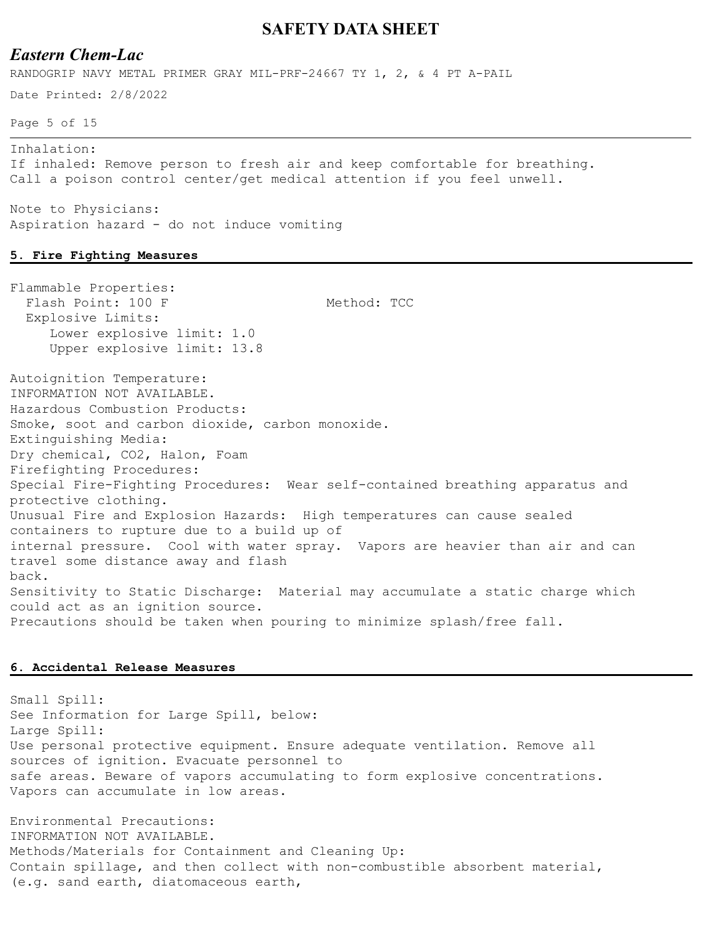## *Eastern Chem-Lac*

RANDOGRIP NAVY METAL PRIMER GRAY MIL-PRF-24667 TY 1, 2, & 4 PT A-PAIL

Date Printed: 2/8/2022

Page 5 of 15

Inhalation: If inhaled: Remove person to fresh air and keep comfortable for breathing. Call a poison control center/get medical attention if you feel unwell.

Note to Physicians: Aspiration hazard - do not induce vomiting

#### **5. Fire Fighting Measures**

Flammable Properties: Flash Point: 100 F Method: TCC Explosive Limits: Lower explosive limit: 1.0 Upper explosive limit: 13.8 Autoignition Temperature: INFORMATION NOT AVAILABLE. Hazardous Combustion Products: Smoke, soot and carbon dioxide, carbon monoxide. Extinguishing Media: Dry chemical, CO2, Halon, Foam Firefighting Procedures: Special Fire-Fighting Procedures: Wear self-contained breathing apparatus and protective clothing. Unusual Fire and Explosion Hazards: High temperatures can cause sealed containers to rupture due to a build up of internal pressure. Cool with water spray. Vapors are heavier than air and can travel some distance away and flash back. Sensitivity to Static Discharge: Material may accumulate a static charge which could act as an ignition source. Precautions should be taken when pouring to minimize splash/free fall.

#### **6. Accidental Release Measures**

Small Spill: See Information for Large Spill, below: Large Spill: Use personal protective equipment. Ensure adequate ventilation. Remove all sources of ignition. Evacuate personnel to safe areas. Beware of vapors accumulating to form explosive concentrations. Vapors can accumulate in low areas.

Environmental Precautions: INFORMATION NOT AVAILABLE. Methods/Materials for Containment and Cleaning Up: Contain spillage, and then collect with non-combustible absorbent material, (e.g. sand earth, diatomaceous earth,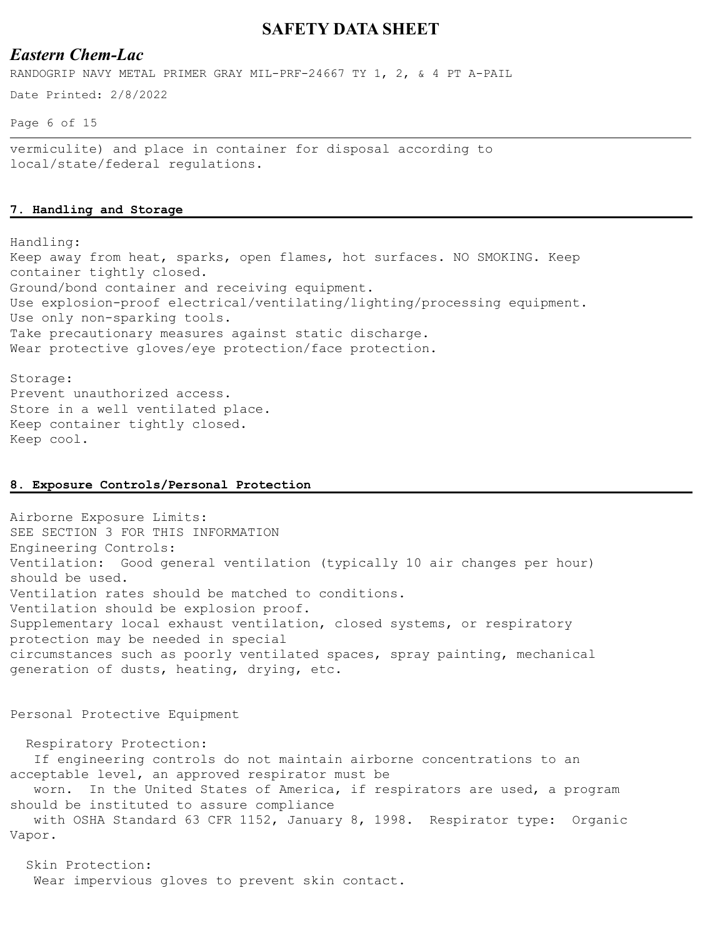## *Eastern Chem-Lac*

RANDOGRIP NAVY METAL PRIMER GRAY MIL-PRF-24667 TY 1, 2, & 4 PT A-PAIL

Date Printed: 2/8/2022

Page 6 of 15

vermiculite) and place in container for disposal according to local/state/federal regulations.

### **7. Handling and Storage**

Handling: Keep away from heat, sparks, open flames, hot surfaces. NO SMOKING. Keep container tightly closed. Ground/bond container and receiving equipment. Use explosion-proof electrical/ventilating/lighting/processing equipment. Use only non-sparking tools. Take precautionary measures against static discharge. Wear protective gloves/eye protection/face protection.

Storage: Prevent unauthorized access. Store in a well ventilated place. Keep container tightly closed. Keep cool.

#### **8. Exposure Controls/Personal Protection**

Airborne Exposure Limits: SEE SECTION 3 FOR THIS INFORMATION Engineering Controls: Ventilation: Good general ventilation (typically 10 air changes per hour) should be used. Ventilation rates should be matched to conditions. Ventilation should be explosion proof. Supplementary local exhaust ventilation, closed systems, or respiratory protection may be needed in special circumstances such as poorly ventilated spaces, spray painting, mechanical generation of dusts, heating, drying, etc.

Personal Protective Equipment

 Respiratory Protection: If engineering controls do not maintain airborne concentrations to an acceptable level, an approved respirator must be worn. In the United States of America, if respirators are used, a program should be instituted to assure compliance with OSHA Standard 63 CFR 1152, January 8, 1998. Respirator type: Organic Vapor.

 Skin Protection: Wear impervious gloves to prevent skin contact.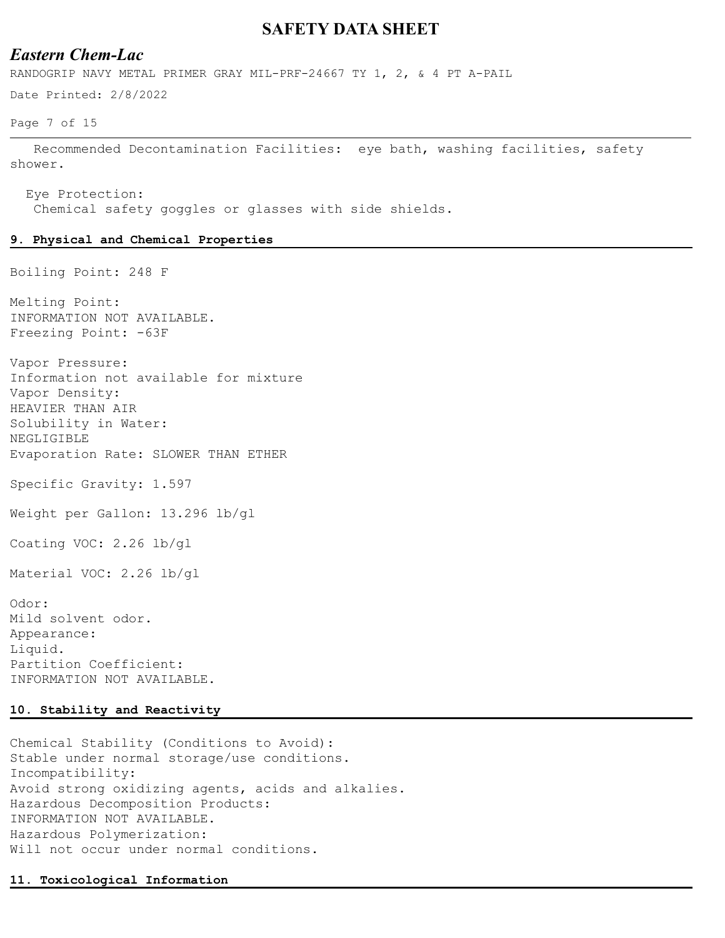## *Eastern Chem-Lac*

RANDOGRIP NAVY METAL PRIMER GRAY MIL-PRF-24667 TY 1, 2, & 4 PT A-PAIL

Date Printed: 2/8/2022

Page 7 of 15

 Recommended Decontamination Facilities: eye bath, washing facilities, safety shower.

 Eye Protection: Chemical safety goggles or glasses with side shields.

#### **9. Physical and Chemical Properties**

Boiling Point: 248 F

Melting Point: INFORMATION NOT AVAILABLE. Freezing Point: -63F

Vapor Pressure: Information not available for mixture Vapor Density: HEAVIER THAN AIR Solubility in Water: NEGLIGIBLE Evaporation Rate: SLOWER THAN ETHER

Specific Gravity: 1.597

Weight per Gallon: 13.296 lb/gl

Coating VOC: 2.26 lb/gl

Material VOC: 2.26 lb/gl

Odor: Mild solvent odor. Appearance: Liquid. Partition Coefficient: INFORMATION NOT AVAILABLE.

### **10. Stability and Reactivity**

Chemical Stability (Conditions to Avoid): Stable under normal storage/use conditions. Incompatibility: Avoid strong oxidizing agents, acids and alkalies. Hazardous Decomposition Products: INFORMATION NOT AVAILABLE. Hazardous Polymerization: Will not occur under normal conditions.

#### **11. Toxicological Information**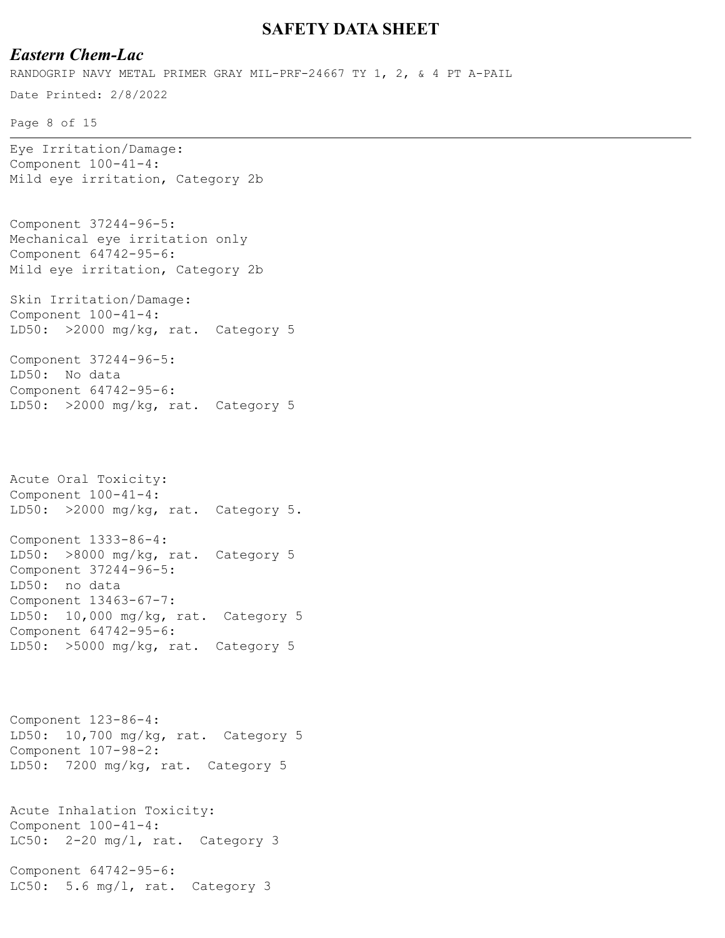## *Eastern Chem-Lac*

Date Printed: 2/8/2022 Page 8 of 15 RANDOGRIP NAVY METAL PRIMER GRAY MIL-PRF-24667 TY 1, 2, & 4 PT A-PAIL Eye Irritation/Damage: Component 100-41-4: Mild eye irritation, Category 2b Component 37244-96-5: Mechanical eye irritation only Component 64742-95-6: Mild eye irritation, Category 2b Skin Irritation/Damage:

Component 100-41-4: LD50: >2000 mg/kg, rat. Category 5

Component 37244-96-5: LD50: No data Component 64742-95-6: LD50: >2000 mg/kg, rat. Category 5

Acute Oral Toxicity: Component 100-41-4: LD50: >2000 mg/kg, rat. Category 5.

Component 1333-86-4: LD50: >8000 mg/kg, rat. Category 5 Component 37244-96-5: LD50: no data Component 13463-67-7: LD50: 10,000 mg/kg, rat. Category 5 Component 64742-95-6: LD50: >5000 mg/kg, rat. Category 5

Component 123-86-4: LD50: 10,700 mg/kg, rat. Category 5 Component 107-98-2: LD50: 7200 mg/kg, rat. Category 5

Acute Inhalation Toxicity: Component 100-41-4: LC50: 2-20 mg/l, rat. Category 3

Component 64742-95-6: LC50: 5.6 mg/l, rat. Category 3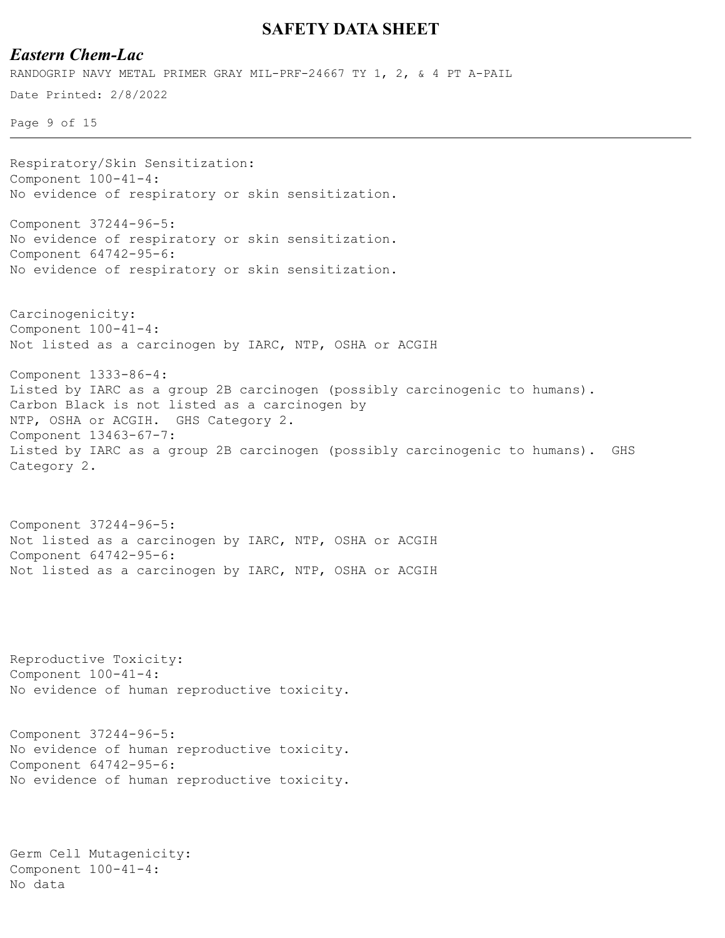## *Eastern Chem-Lac*

Date Printed: 2/8/2022 RANDOGRIP NAVY METAL PRIMER GRAY MIL-PRF-24667 TY 1, 2, & 4 PT A-PAIL

Page 9 of 15

Respiratory/Skin Sensitization: Component 100-41-4: No evidence of respiratory or skin sensitization. Component 37244-96-5:

No evidence of respiratory or skin sensitization. Component 64742-95-6: No evidence of respiratory or skin sensitization.

Carcinogenicity: Component 100-41-4: Not listed as a carcinogen by IARC, NTP, OSHA or ACGIH

Component 1333-86-4: Listed by IARC as a group 2B carcinogen (possibly carcinogenic to humans). Carbon Black is not listed as a carcinogen by NTP, OSHA or ACGIH. GHS Category 2. Component 13463-67-7: Listed by IARC as a group 2B carcinogen (possibly carcinogenic to humans). GHS Category 2.

Component 37244-96-5: Not listed as a carcinogen by IARC, NTP, OSHA or ACGIH Component 64742-95-6: Not listed as a carcinogen by IARC, NTP, OSHA or ACGIH

Reproductive Toxicity: Component 100-41-4: No evidence of human reproductive toxicity.

Component 37244-96-5: No evidence of human reproductive toxicity. Component 64742-95-6: No evidence of human reproductive toxicity.

```
Germ Cell Mutagenicity:
Component 100-41-4:
No data
```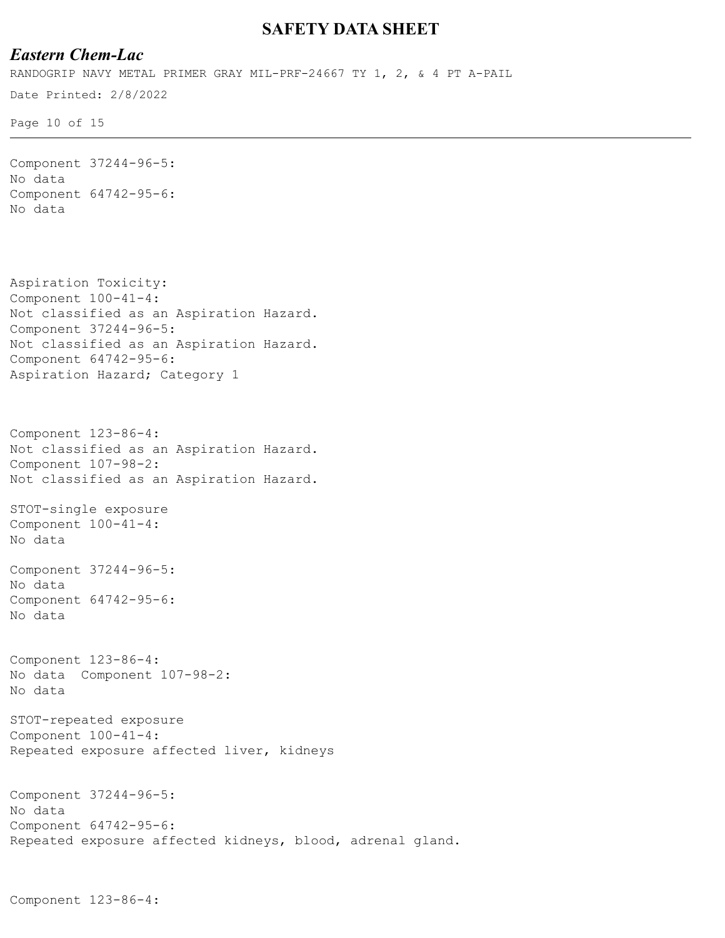## *Eastern Chem-Lac*

Date Printed: 2/8/2022 RANDOGRIP NAVY METAL PRIMER GRAY MIL-PRF-24667 TY 1, 2, & 4 PT A-PAIL

Page 10 of 15

```
Component 37244-96-5:
No data
Component 64742-95-6:
No data
Aspiration Toxicity:
Component 100-41-4:
Not classified as an Aspiration Hazard.
Component 37244-96-5:
Not classified as an Aspiration Hazard.
Component 64742-95-6:
Aspiration Hazard; Category 1
Component 123-86-4:
Not classified as an Aspiration Hazard.
Component 107-98-2:
Not classified as an Aspiration Hazard.
STOT-single exposure
Component 100-41-4:
No data
Component 37244-96-5:
No data
Component 64742-95-6:
No data
Component 123-86-4:
No data Component 107-98-2:
No data
STOT-repeated exposure
Component 100-41-4:
Repeated exposure affected liver, kidneys
Component 37244-96-5:
No data
Component 64742-95-6:
Repeated exposure affected kidneys, blood, adrenal gland.
```

```
Component 123-86-4:
```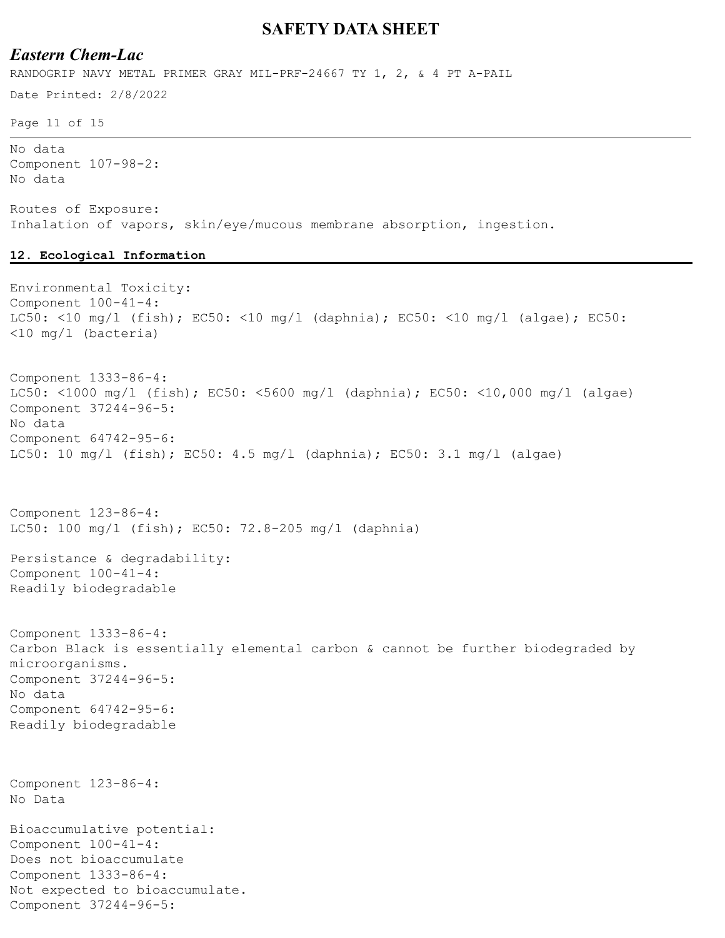## *Eastern Chem-Lac*

RANDOGRIP NAVY METAL PRIMER GRAY MIL-PRF-24667 TY 1, 2, & 4 PT A-PAIL

Date Printed: 2/8/2022

Page 11 of 15

No data Component 107-98-2: No data

Routes of Exposure: Inhalation of vapors, skin/eye/mucous membrane absorption, ingestion.

#### **12. Ecological Information**

```
Environmental Toxicity:
Component 100-41-4:
LC50: <10 mg/l (fish); EC50: <10 mg/l (daphnia); EC50: <10 mg/l (algae); EC50: 
<10 mg/l (bacteria)
Component 1333-86-4:
LC50: <1000 mg/l (fish); EC50: <5600 mg/l (daphnia); EC50: <10,000 mg/l (algae)
Component 37244-96-5:
No data
Component 64742-95-6:
LC50: 10 mq/1 (fish); EC50: 4.5 mq/1 (daphnia); EC50: 3.1 mq/1 (algae)
Component 123-86-4:
LC50: 100 mg/l (fish); EC50: 72.8-205 mg/l (daphnia)
Persistance & degradability:
Component 100-41-4:
Readily biodegradable
Component 1333-86-4:
Carbon Black is essentially elemental carbon & cannot be further biodegraded by 
microorganisms.
Component 37244-96-5:
No data
Component 64742-95-6:
Readily biodegradable
Component 123-86-4:
No Data
Bioaccumulative potential:
Component 100-41-4:
Does not bioaccumulate
Component 1333-86-4:
Not expected to bioaccumulate.
Component 37244-96-5:
```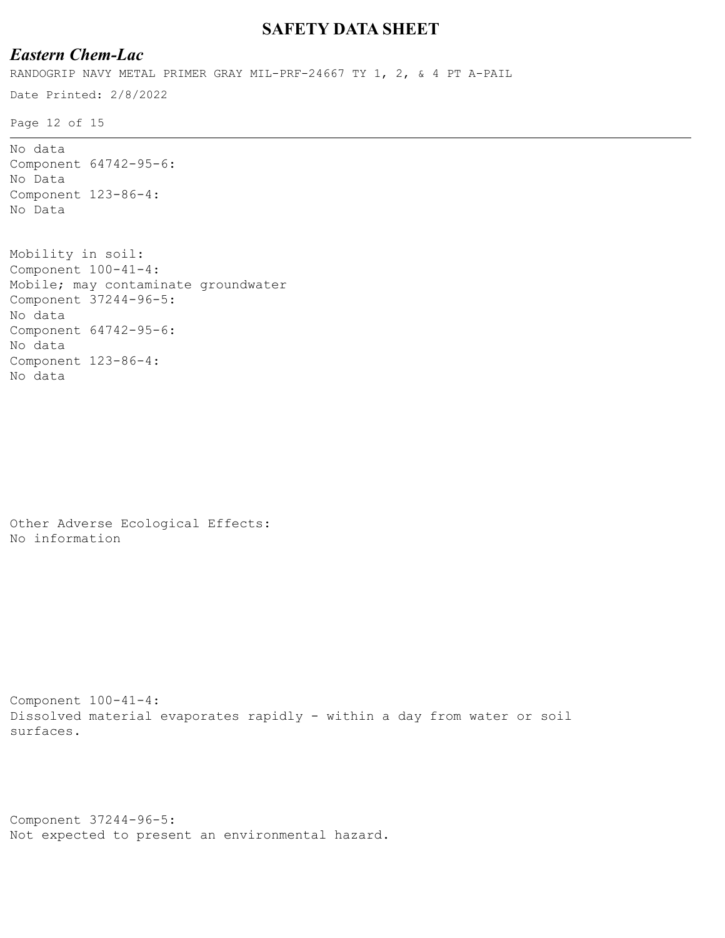# *Eastern Chem-Lac*

RANDOGRIP NAVY METAL PRIMER GRAY MIL-PRF-24667 TY 1, 2, & 4 PT A-PAIL

Date Printed: 2/8/2022

Page 12 of 15

```
No data
Component 64742-95-6:
No Data
Component 123-86-4:
No Data
Mobility in soil:
Component 100-41-4:
Mobile; may contaminate groundwater
```
Component 37244-96-5: No data Component 64742-95-6: No data Component 123-86-4: No data

Other Adverse Ecological Effects: No information

```
Component 100-41-4:
Dissolved material evaporates rapidly - within a day from water or soil 
surfaces.
```

```
Component 37244-96-5:
Not expected to present an environmental hazard.
```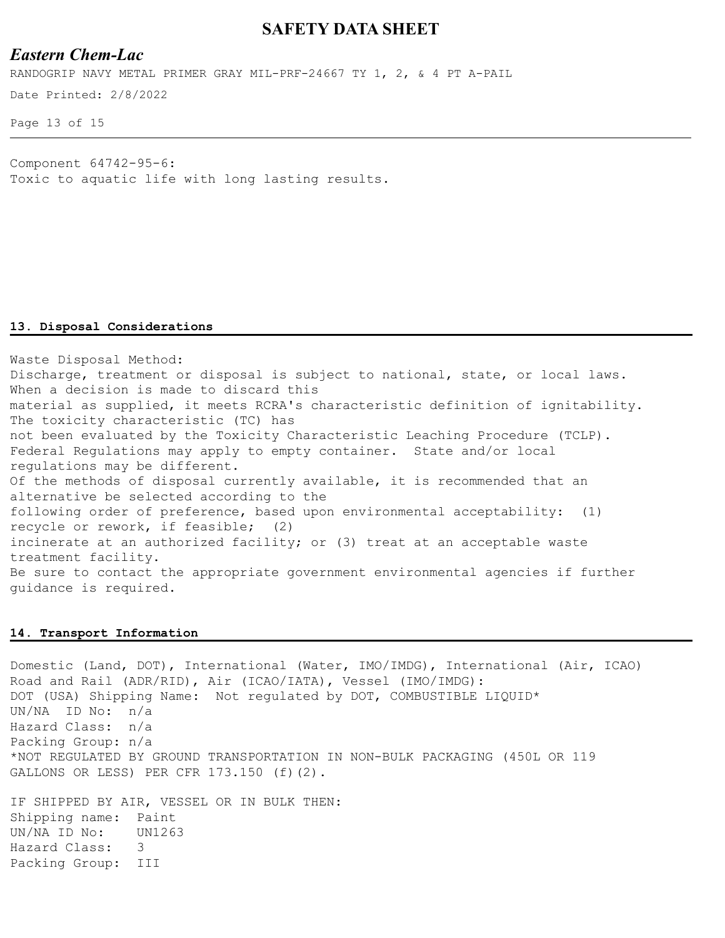## *Eastern Chem-Lac*

RANDOGRIP NAVY METAL PRIMER GRAY MIL-PRF-24667 TY 1, 2, & 4 PT A-PAIL

Date Printed: 2/8/2022

Page 13 of 15

Component 64742-95-6: Toxic to aquatic life with long lasting results.

#### **13. Disposal Considerations**

Waste Disposal Method: Discharge, treatment or disposal is subject to national, state, or local laws. When a decision is made to discard this material as supplied, it meets RCRA's characteristic definition of ignitability. The toxicity characteristic (TC) has not been evaluated by the Toxicity Characteristic Leaching Procedure (TCLP). Federal Regulations may apply to empty container. State and/or local regulations may be different. Of the methods of disposal currently available, it is recommended that an alternative be selected according to the following order of preference, based upon environmental acceptability: (1) recycle or rework, if feasible; (2) incinerate at an authorized facility; or (3) treat at an acceptable waste treatment facility. Be sure to contact the appropriate government environmental agencies if further guidance is required.

### **14. Transport Information**

Domestic (Land, DOT), International (Water, IMO/IMDG), International (Air, ICAO) Road and Rail (ADR/RID), Air (ICAO/IATA), Vessel (IMO/IMDG): DOT (USA) Shipping Name: Not regulated by DOT, COMBUSTIBLE LIQUID\* UN/NA ID No: n/a Hazard Class: n/a Packing Group: n/a \*NOT REGULATED BY GROUND TRANSPORTATION IN NON-BULK PACKAGING (450L OR 119 GALLONS OR LESS) PER CFR 173.150 (f)(2).

IF SHIPPED BY AIR, VESSEL OR IN BULK THEN: Shipping name: Paint UN/NA ID No: UN1263 Hazard Class: 3 Packing Group: III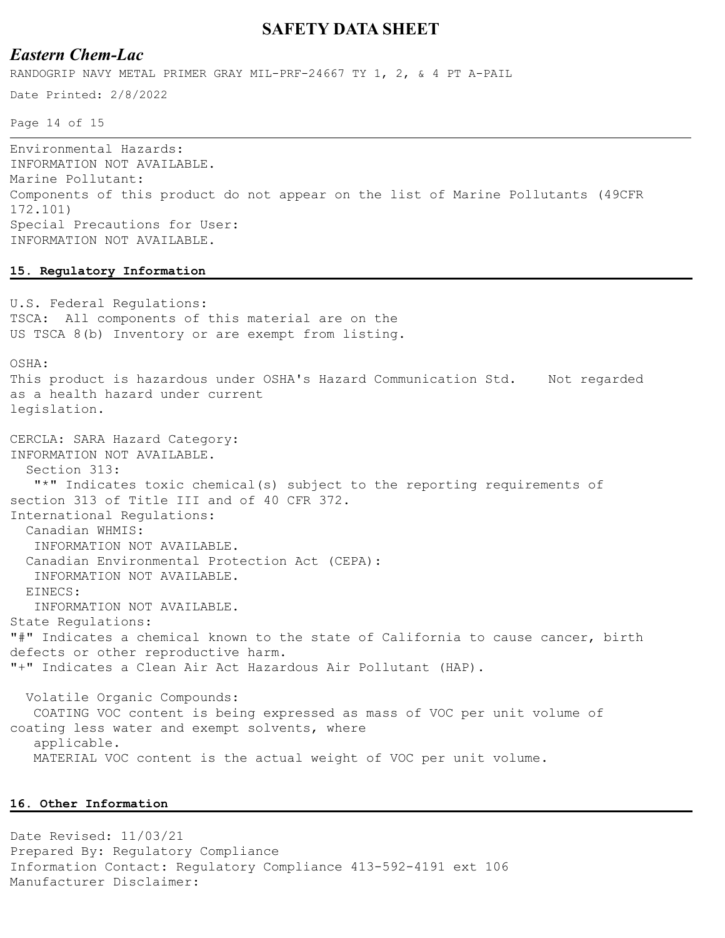## *Eastern Chem-Lac*

RANDOGRIP NAVY METAL PRIMER GRAY MIL-PRF-24667 TY 1, 2, & 4 PT A-PAIL

Date Printed: 2/8/2022

Page 14 of 15

Environmental Hazards: INFORMATION NOT AVAILABLE. Marine Pollutant: Components of this product do not appear on the list of Marine Pollutants (49CFR 172.101) Special Precautions for User: INFORMATION NOT AVAILABLE.

### **15. Regulatory Information**

U.S. Federal Regulations: TSCA: All components of this material are on the US TSCA 8(b) Inventory or are exempt from listing.

OSHA:

This product is hazardous under OSHA's Hazard Communication Std. Not regarded as a health hazard under current legislation.

CERCLA: SARA Hazard Category: INFORMATION NOT AVAILABLE. Section 313: "\*" Indicates toxic chemical(s) subject to the reporting requirements of section 313 of Title III and of 40 CFR 372. International Regulations: Canadian WHMIS: INFORMATION NOT AVAILABLE. Canadian Environmental Protection Act (CEPA): INFORMATION NOT AVAILABLE. EINECS: INFORMATION NOT AVAILABLE. State Regulations: "#" Indicates a chemical known to the state of California to cause cancer, birth defects or other reproductive harm. "+" Indicates a Clean Air Act Hazardous Air Pollutant (HAP).

 Volatile Organic Compounds: COATING VOC content is being expressed as mass of VOC per unit volume of coating less water and exempt solvents, where applicable. MATERIAL VOC content is the actual weight of VOC per unit volume.

#### **16. Other Information**

Date Revised: 11/03/21 Prepared By: Regulatory Compliance Information Contact: Regulatory Compliance 413-592-4191 ext 106 Manufacturer Disclaimer: